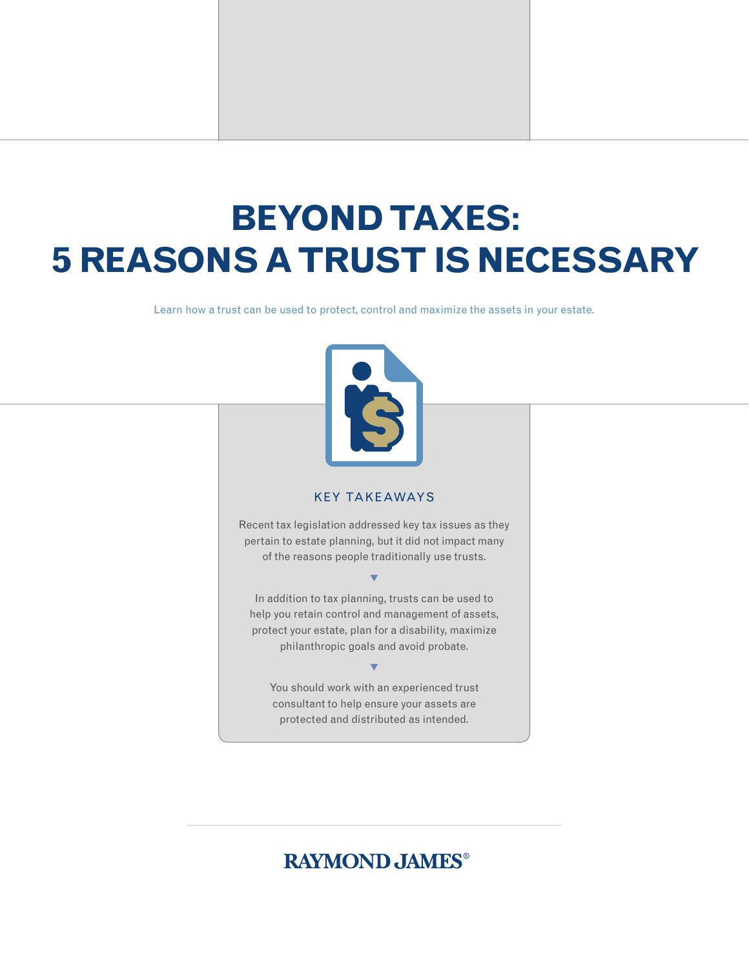# **BEYOND TAXES: 5 REASONS A TRUST IS NECESSARY**

Learn how a trust can be used to protect, control and maximize the assets in your estate.



#### KEY TAKEAWAYS

Recent tax legislation addressed key tax issues as they pertain to estate planning, but it did not impact many of the reasons people traditionally use trusts.

 $\blacktriangledown$ 

In addition to tax planning, trusts can be used to help you retain control and management of assets, protect your estate, plan for a disability, maximize philanthropic goals and avoid probate.

## $\blacktriangledown$

You should work with an experienced trust consultant to help ensure your assets are protected and distributed as intended.

## **RAYMOND JAMES®**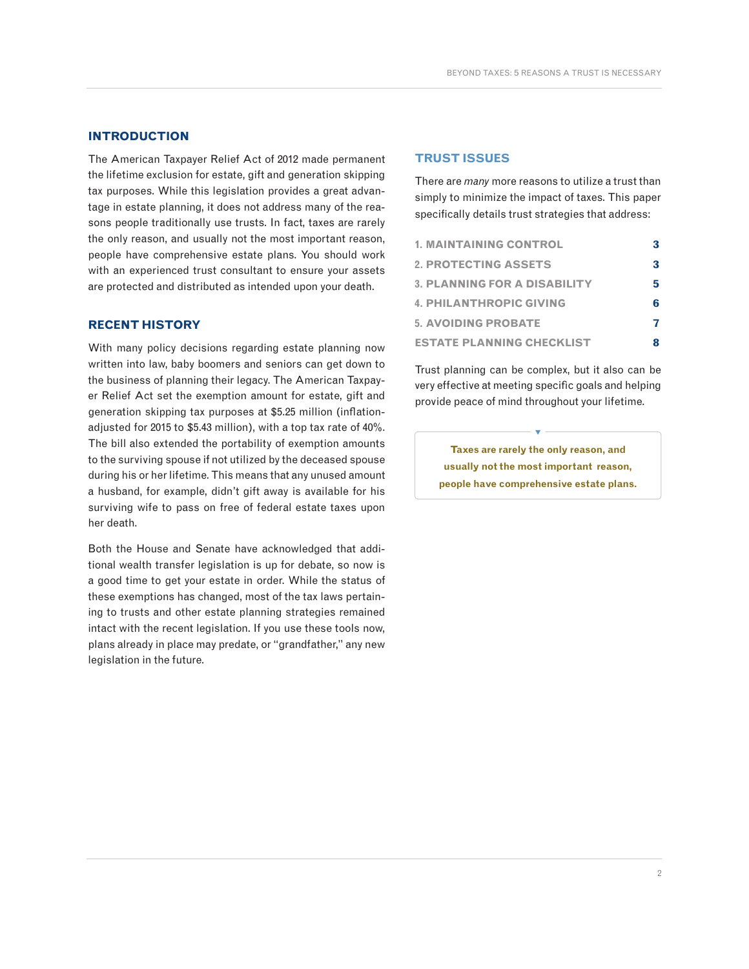#### **INTRODUCTION**

The American Taxpayer Relief Act of 2012 made permanent the lifetime exclusion for estate, gift and generation skipping tax purposes. While this legislation provides a great advantage in estate planning, it does not address many of the reasons people traditionally use trusts. In fact, taxes are rarely the only reason, and usually not the most important reason, people have comprehensive estate plans. You should work with an experienced trust consultant to ensure your assets are protected and distributed as intended upon your death.

#### **RECENT HISTORY**

With many policy decisions regarding estate planning now written into law, baby boomers and seniors can get down to the business of planning their legacy. The American Taxpayer Relief Act set the exemption amount for estate, gift and generation skipping tax purposes at \$5.25 million (inflationadjusted for 2015 to \$5.43 million), with a top tax rate of 40%. The bill also extended the portability of exemption amounts to the surviving spouse if not utilized by the deceased spouse during his or her lifetime. This means that any unused amount a husband, for example, didn't gift away is available for his surviving wife to pass on free of federal estate taxes upon her death.

Both the House and Senate have acknowledged that additional wealth transfer legislation is up for debate, so now is a good time to get your estate in order. While the status of these exemptions has changed, most of the tax laws pertaining to trusts and other estate planning strategies remained intact with the recent legislation. If you use these tools now, plans already in place may predate, or "grandfather," any new legislation in the future.

#### **TRUST ISSUES**

There are *many* more reasons to utilize a trust than simply to minimize the impact of taxes. This paper specifically details trust strategies that address:

| <b>1. MAINTAINING CONTROL</b>       |   |
|-------------------------------------|---|
| <b>2. PROTECTING ASSETS</b>         | 3 |
| <b>3. PLANNING FOR A DISABILITY</b> | 5 |
| <b>4. PHILANTHROPIC GIVING</b>      | 6 |
| <b>5. AVOIDING PROBATE</b>          |   |
| <b>ESTATE PLANNING CHECKLIST</b>    |   |

Trust planning can be complex, but it also can be very effective at meeting specific goals and helping provide peace of mind throughout your lifetime.

> **Taxes are rarely the only reason, and usually not the most important reason, people have comprehensive estate plans.**

V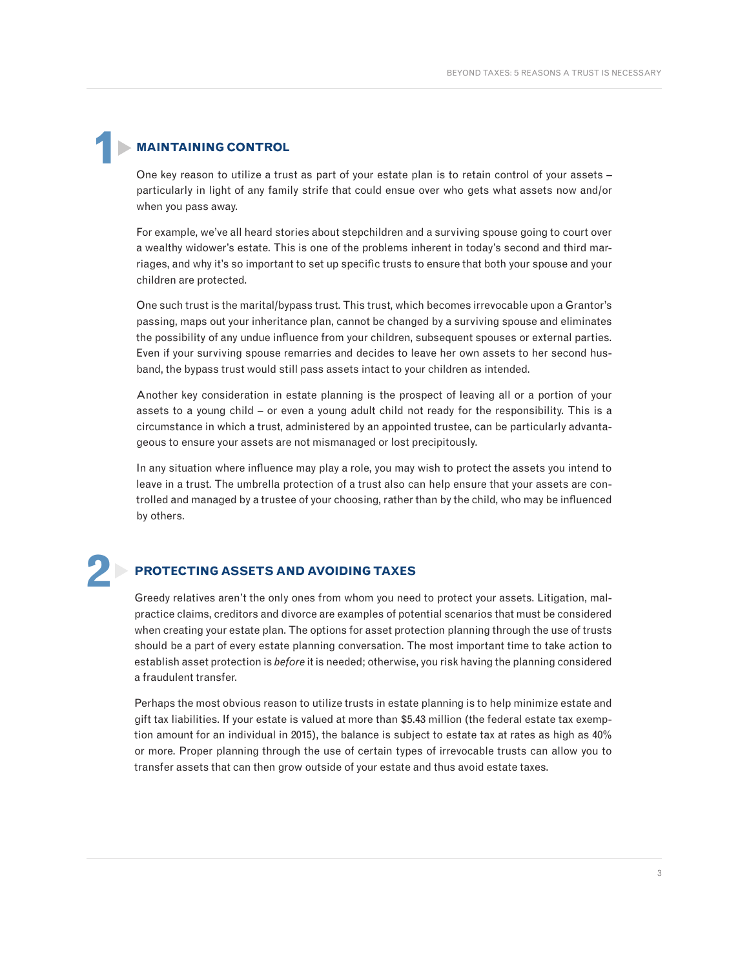### **MAINTAINING CONTROL**

One key reason to utilize a trust as part of your estate plan is to retain control of your assets – particularly in light of any family strife that could ensue over who gets what assets now and/or when you pass away.

For example, we've all heard stories about stepchildren and a surviving spouse going to court over a wealthy widower's estate. This is one of the problems inherent in today's second and third marriages, and why it's so important to set up specific trusts to ensure that both your spouse and your children are protected.

One such trust is the marital/bypass trust. This trust, which becomes irrevocable upon a Grantor's passing, maps out your inheritance plan, cannot be changed by a surviving spouse and eliminates the possibility of any undue influence from your children, subsequent spouses or external parties. Even if your surviving spouse remarries and decides to leave her own assets to her second husband, the bypass trust would still pass assets intact to your children as intended.

Another key consideration in estate planning is the prospect of leaving all or a portion of your assets to a young child – or even a young adult child not ready for the responsibility. This is a circumstance in which a trust, administered by an appointed trustee, can be particularly advantageous to ensure your assets are not mismanaged or lost precipitously.

In any situation where influence may play a role, you may wish to protect the assets you intend to leave in a trust. The umbrella protection of a trust also can help ensure that your assets are controlled and managed by a trustee of your choosing, rather than by the child, who may be influenced by others.

# **2**

**1**

### **PROTECTING ASSETS AND AVOIDING TAXES**

Greedy relatives aren't the only ones from whom you need to protect your assets. Litigation, malpractice claims, creditors and divorce are examples of potential scenarios that must be considered when creating your estate plan. The options for asset protection planning through the use of trusts should be a part of every estate planning conversation. The most important time to take action to establish asset protection is *before* it is needed; otherwise, you risk having the planning considered a fraudulent transfer.

Perhaps the most obvious reason to utilize trusts in estate planning is to help minimize estate and gift tax liabilities. If your estate is valued at more than \$5.43 million (the federal estate tax exemption amount for an individual in 2015), the balance is subject to estate tax at rates as high as 40% or more. Proper planning through the use of certain types of irrevocable trusts can allow you to transfer assets that can then grow outside of your estate and thus avoid estate taxes.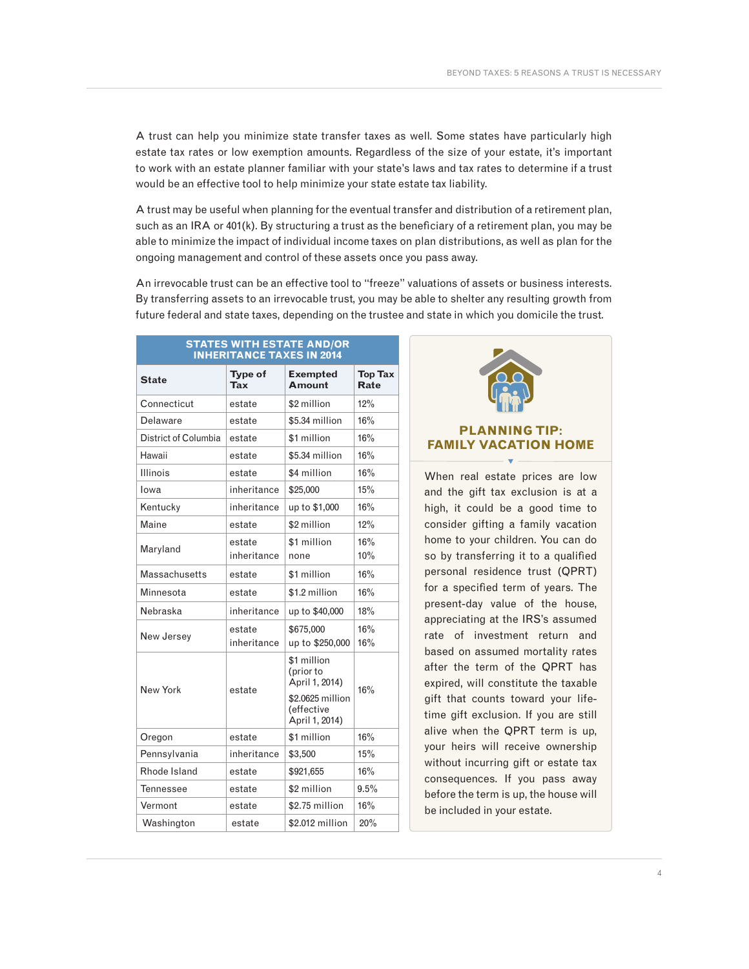A trust can help you minimize state transfer taxes as well. Some states have particularly high estate tax rates or low exemption amounts. Regardless of the size of your estate, it's important to work with an estate planner familiar with your state's laws and tax rates to determine if a trust would be an effective tool to help minimize your state estate tax liability.

A trust may be useful when planning for the eventual transfer and distribution of a retirement plan, such as an IRA or 401(k). By structuring a trust as the beneficiary of a retirement plan, you may be able to minimize the impact of individual income taxes on plan distributions, as well as plan for the ongoing management and control of these assets once you pass away.

An irrevocable trust can be an effective tool to "freeze" valuations of assets or business interests. By transferring assets to an irrevocable trust, you may be able to shelter any resulting growth from future federal and state taxes, depending on the trustee and state in which you domicile the trust.

| <b>STATES WITH ESTATE AND/OR</b><br><b>INHERITANCE TAXES IN 2014</b> |                       |                                                                                                |                               |  |  |  |  |  |  |
|----------------------------------------------------------------------|-----------------------|------------------------------------------------------------------------------------------------|-------------------------------|--|--|--|--|--|--|
| <b>State</b>                                                         | Type of<br>Tax        | <b>Exempted</b><br>Amount                                                                      | <b>Top Tax</b><br><b>Rate</b> |  |  |  |  |  |  |
| Connecticut                                                          | estate                | \$2 million                                                                                    | 12%                           |  |  |  |  |  |  |
| Delaware                                                             | estate                | \$5.34 million                                                                                 | 16%                           |  |  |  |  |  |  |
| District of Columbia                                                 | estate                | \$1 million                                                                                    | 16%                           |  |  |  |  |  |  |
| Hawaii                                                               | estate                | \$5.34 million                                                                                 | 16%                           |  |  |  |  |  |  |
| <b>Illinois</b>                                                      | estate                | \$4 million                                                                                    | 16%                           |  |  |  |  |  |  |
| Iowa                                                                 | inheritance           | \$25,000                                                                                       | 15%                           |  |  |  |  |  |  |
| Kentucky                                                             | inheritance           | up to \$1,000                                                                                  | 16%                           |  |  |  |  |  |  |
| Maine                                                                | estate                | \$2 million                                                                                    | 12%                           |  |  |  |  |  |  |
| Maryland                                                             | estate<br>inheritance | \$1 million<br>none                                                                            | 16%<br>10%                    |  |  |  |  |  |  |
| Massachusetts                                                        | estate                | \$1 million                                                                                    | 16%                           |  |  |  |  |  |  |
| Minnesota                                                            | estate                | \$1.2 million                                                                                  | 16%                           |  |  |  |  |  |  |
| Nebraska                                                             | inheritance           | up to \$40,000                                                                                 | 18%                           |  |  |  |  |  |  |
| New Jersey                                                           | estate<br>inheritance | \$675,000<br>up to \$250,000                                                                   | 16%<br>16%                    |  |  |  |  |  |  |
| New York                                                             | estate                | \$1 million<br>(prior to<br>April 1, 2014)<br>\$2,0625 million<br>(effective<br>April 1, 2014) | 16%                           |  |  |  |  |  |  |
| Oregon                                                               | estate                | \$1 million                                                                                    | 16%                           |  |  |  |  |  |  |
| Pennsylvania                                                         | inheritance           | \$3,500                                                                                        | 15%                           |  |  |  |  |  |  |
| Rhode Island                                                         | estate                | \$921,655                                                                                      | 16%                           |  |  |  |  |  |  |
| <b>Tennessee</b>                                                     | estate                | \$2 million                                                                                    | 9.5%                          |  |  |  |  |  |  |
| Vermont                                                              | estate                | \$2.75 million                                                                                 | 16%                           |  |  |  |  |  |  |
| Washington                                                           | estate                | \$2,012 million                                                                                | 20%                           |  |  |  |  |  |  |

#### **PLANNING TIP: FAMILY VACATION HOME**  $\overline{\mathbf{v}}$

When real estate prices are low and the gift tax exclusion is at a high, it could be a good time to consider gifting a family vacation home to your children. You can do so by transferring it to a qualified personal residence trust (QPRT) for a specified term of years. The present-day value of the house, appreciating at the IRS's assumed rate of investment return and based on assumed mortality rates after the term of the QPRT has expired, will constitute the taxable gift that counts toward your lifetime gift exclusion. If you are still alive when the QPRT term is up, your heirs will receive ownership without incurring gift or estate tax consequences. If you pass away before the term is up, the house will be included in your estate.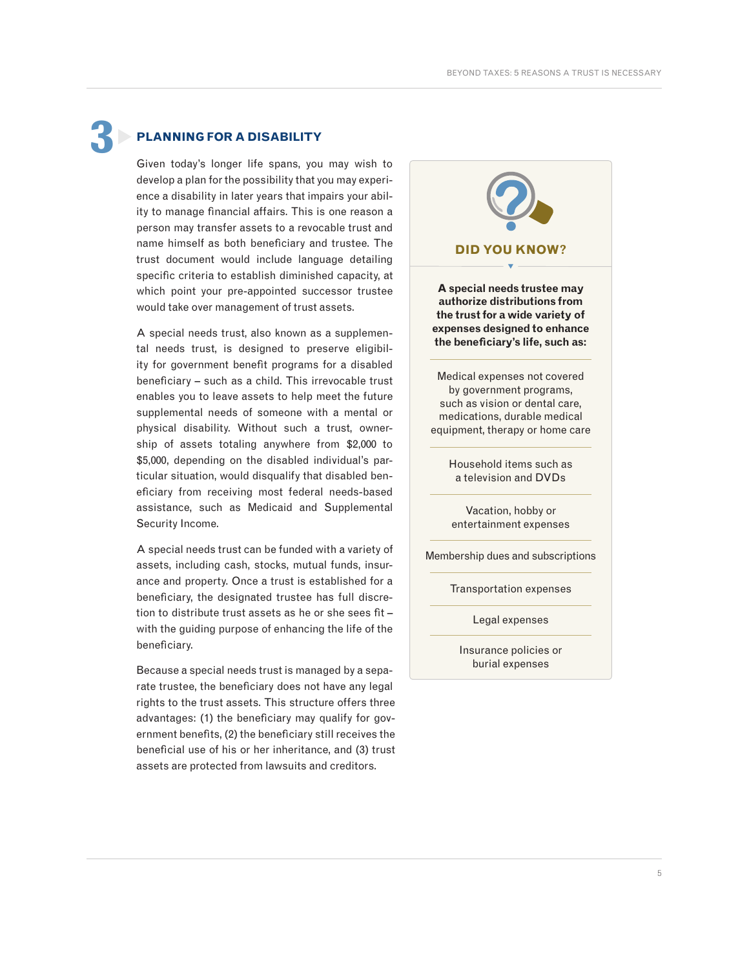**3**

#### **PLANNING FOR A DISABILITY**

Given today's longer life spans, you may wish to develop a plan for the possibility that you may experience a disability in later years that impairs your ability to manage financial affairs. This is one reason a person may transfer assets to a revocable trust and name himself as both beneficiary and trustee. The trust document would include language detailing specific criteria to establish diminished capacity, at which point your pre-appointed successor trustee would take over management of trust assets.

A special needs trust, also known as a supplemental needs trust, is designed to preserve eligibility for government benefit programs for a disabled beneficiary – such as a child. This irrevocable trust enables you to leave assets to help meet the future supplemental needs of someone with a mental or physical disability. Without such a trust, ownership of assets totaling anywhere from \$2,000 to \$5,000, depending on the disabled individual's particular situation, would disqualify that disabled beneficiary from receiving most federal needs-based assistance, such as Medicaid and Supplemental Security Income.

A special needs trust can be funded with a variety of assets, including cash, stocks, mutual funds, insurance and property. Once a trust is established for a beneficiary, the designated trustee has full discretion to distribute trust assets as he or she sees fit – with the guiding purpose of enhancing the life of the beneficiary.

Because a special needs trust is managed by a separate trustee, the beneficiary does not have any legal rights to the trust assets. This structure offers three advantages: (1) the beneficiary may qualify for government benefits, (2) the beneficiary still receives the beneficial use of his or her inheritance, and (3) trust assets are protected from lawsuits and creditors.

**DID YOU KNOW? A special needs trustee may authorize distributions from the trust for a wide variety of expenses designed to enhance the beneficiary's life, such as:**  Medical expenses not covered by government programs, such as vision or dental care, medications, durable medical equipment, therapy or home care  $\overline{\mathbf{v}}$ 

> Household items such as a television and DVDs

Vacation, hobby or entertainment expenses

Membership dues and subscriptions

Transportation expenses

Legal expenses

Insurance policies or burial expenses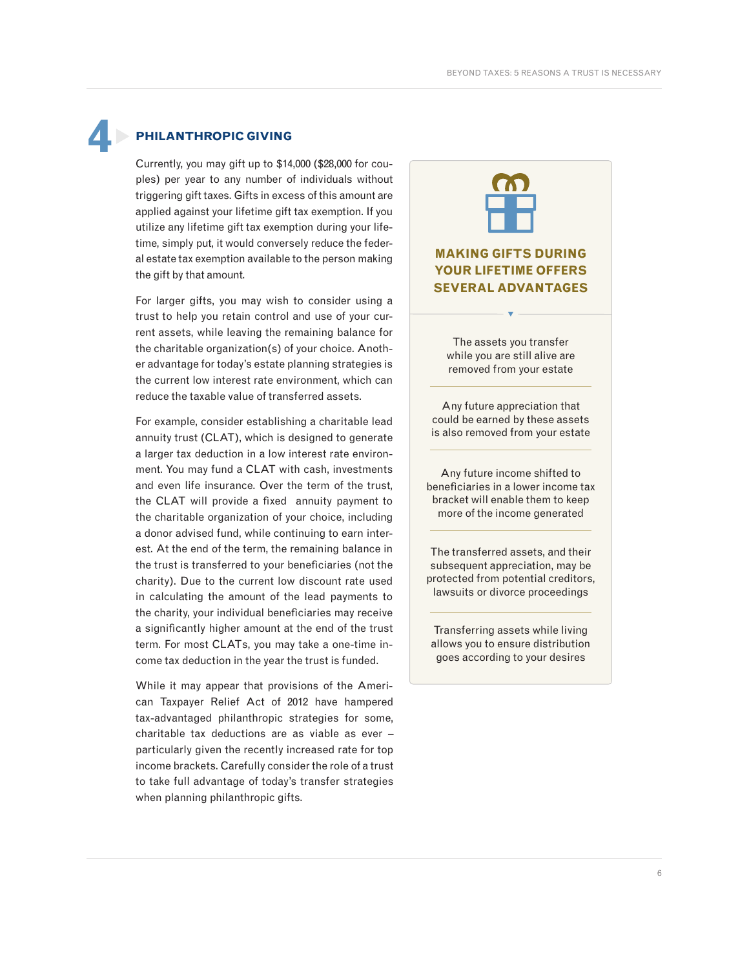## **PHILANTHROPIC GIVING 4**

Currently, you may gift up to \$14,000 (\$28,000 for couples) per year to any number of individuals without triggering gift taxes. Gifts in excess of this amount are applied against your lifetime gift tax exemption. If you utilize any lifetime gift tax exemption during your lifetime, simply put, it would conversely reduce the federal estate tax exemption available to the person making the gift by that amount.

For larger gifts, you may wish to consider using a trust to help you retain control and use of your current assets, while leaving the remaining balance for the charitable organization(s) of your choice. Another advantage for today's estate planning strategies is the current low interest rate environment, which can reduce the taxable value of transferred assets.

For example, consider establishing a charitable lead annuity trust (CLAT), which is designed to generate a larger tax deduction in a low interest rate environment. You may fund a CLAT with cash, investments and even life insurance. Over the term of the trust, the CLAT will provide a fixed annuity payment to the charitable organization of your choice, including a donor advised fund, while continuing to earn interest. At the end of the term, the remaining balance in the trust is transferred to your beneficiaries (not the charity). Due to the current low discount rate used in calculating the amount of the lead payments to the charity, your individual beneficiaries may receive a significantly higher amount at the end of the trust term. For most CLATs, you may take a one-time income tax deduction in the year the trust is funded.

While it may appear that provisions of the American Taxpayer Relief Act of 2012 have hampered tax-advantaged philanthropic strategies for some, charitable tax deductions are as viable as ever – particularly given the recently increased rate for top income brackets. Carefully consider the role of a trust to take full advantage of today's transfer strategies when planning philanthropic gifts.

#### **MAKING GIFTS DURING YOUR LIFETIME OFFERS SEVERAL ADVANTAGES**

The assets you transfer while you are still alive are removed from your estate

 $\overline{\mathbf{v}}$ 

Any future appreciation that could be earned by these assets is also removed from your estate

Any future income shifted to beneficiaries in a lower income tax bracket will enable them to keep more of the income generated

The transferred assets, and their subsequent appreciation, may be protected from potential creditors, lawsuits or divorce proceedings

Transferring assets while living allows you to ensure distribution goes according to your desires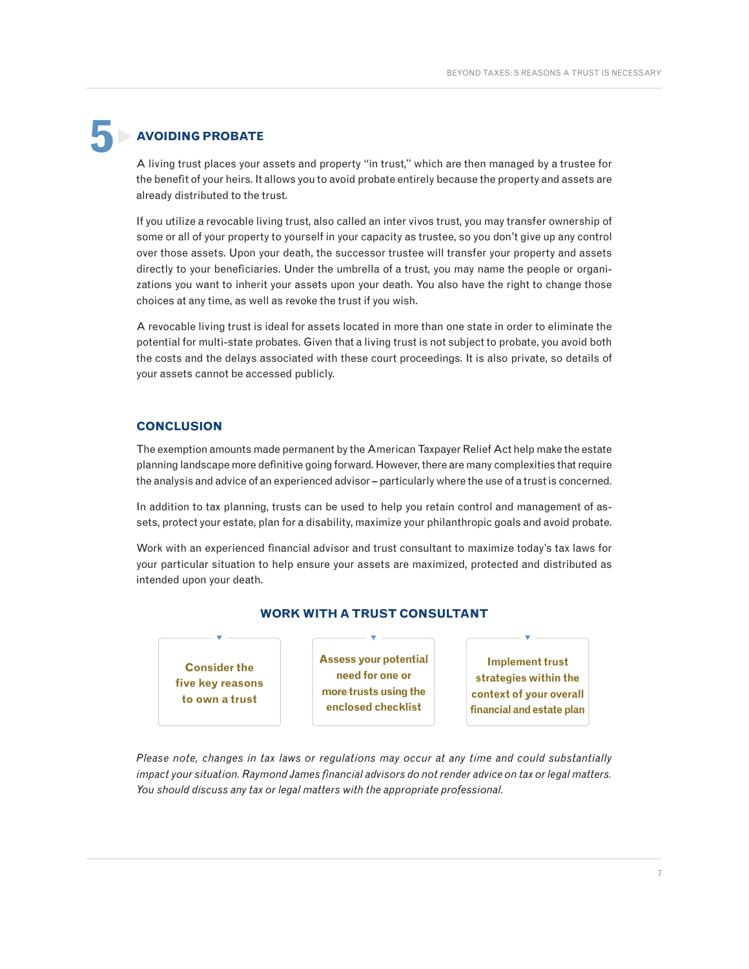## **AVOIDING PROBATE 5**

A living trust places your assets and property "in trust," which are then managed by a trustee for the benefit of your heirs. It allows you to avoid probate entirely because the property and assets are already distributed to the trust.

If you utilize a revocable living trust, also called an inter vivos trust, you may transfer ownership of some or all of your property to yourself in your capacity as trustee, so you don't give up any control over those assets. Upon your death, the successor trustee will transfer your property and assets directly to your beneficiaries. Under the umbrella of a trust, you may name the people or organizations you want to inherit your assets upon your death. You also have the right to change those choices at any time, as well as revoke the trust if you wish.

A revocable living trust is ideal for assets located in more than one state in order to eliminate the potential for multi-state probates. Given that a living trust is not subject to probate, you avoid both the costs and the delays associated with these court proceedings. It is also private, so details of your assets cannot be accessed publicly.

#### **CONCLUSION**

The exemption amounts made permanent by the American Taxpayer Relief Act help make the estate planning landscape more definitive going forward. However, there are many complexities that require the analysis and advice of an experienced advisor – particularly where the use of a trust is concerned.

In addition to tax planning, trusts can be used to help you retain control and management of assets, protect your estate, plan for a disability, maximize your philanthropic goals and avoid probate.

Work with an experienced financial advisor and trust consultant to maximize today's tax laws for your particular situation to help ensure your assets are maximized, protected and distributed as intended upon your death.



#### **WORK WITH A TRUST CONSULTANT**

*Please note, changes in tax laws or regulations may occur at any time and could substantially impact your situation. Raymond James financial advisors do not render advice on tax or legal matters. You should discuss any tax or legal matters with the appropriate professional.*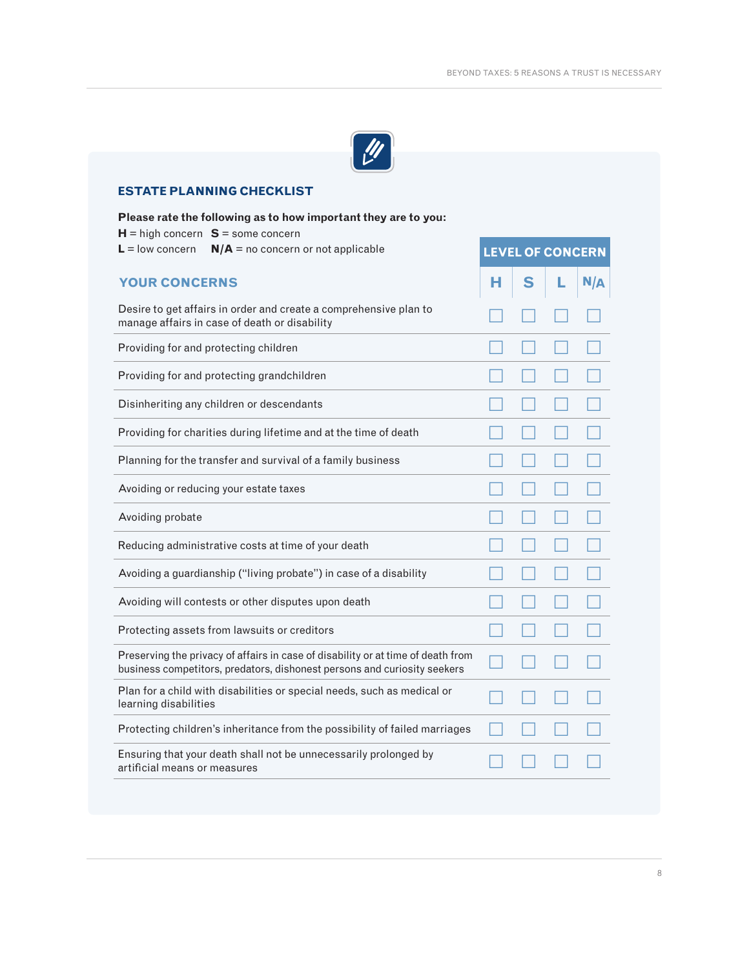

#### **ESTATE PLANNING CHECKLIST**

| Please rate the following as to how important they are to you:<br>$H =$ high concern $S =$ some concern                                                      |                         |   |  |     |
|--------------------------------------------------------------------------------------------------------------------------------------------------------------|-------------------------|---|--|-----|
| $L =$ low concern<br>$N/A$ = no concern or not applicable                                                                                                    | <b>LEVEL OF CONCERN</b> |   |  |     |
| <b>YOUR CONCERNS</b>                                                                                                                                         | н                       | S |  | N/A |
| Desire to get affairs in order and create a comprehensive plan to<br>manage affairs in case of death or disability                                           |                         |   |  |     |
| Providing for and protecting children                                                                                                                        |                         |   |  |     |
| Providing for and protecting grandchildren                                                                                                                   |                         |   |  |     |
| Disinheriting any children or descendants                                                                                                                    |                         |   |  |     |
| Providing for charities during lifetime and at the time of death                                                                                             |                         |   |  |     |
| Planning for the transfer and survival of a family business                                                                                                  |                         |   |  |     |
| Avoiding or reducing your estate taxes                                                                                                                       |                         |   |  |     |
| Avoiding probate                                                                                                                                             |                         |   |  |     |
| Reducing administrative costs at time of your death                                                                                                          |                         |   |  |     |
| Avoiding a guardianship ("living probate") in case of a disability                                                                                           |                         |   |  |     |
| Avoiding will contests or other disputes upon death                                                                                                          |                         |   |  |     |
| Protecting assets from lawsuits or creditors                                                                                                                 |                         |   |  |     |
| Preserving the privacy of affairs in case of disability or at time of death from<br>business competitors, predators, dishonest persons and curiosity seekers |                         |   |  |     |
| Plan for a child with disabilities or special needs, such as medical or<br>learning disabilities                                                             |                         |   |  |     |
| Protecting children's inheritance from the possibility of failed marriages                                                                                   |                         |   |  |     |
| Ensuring that your death shall not be unnecessarily prolonged by<br>artificial means or measures                                                             |                         |   |  |     |